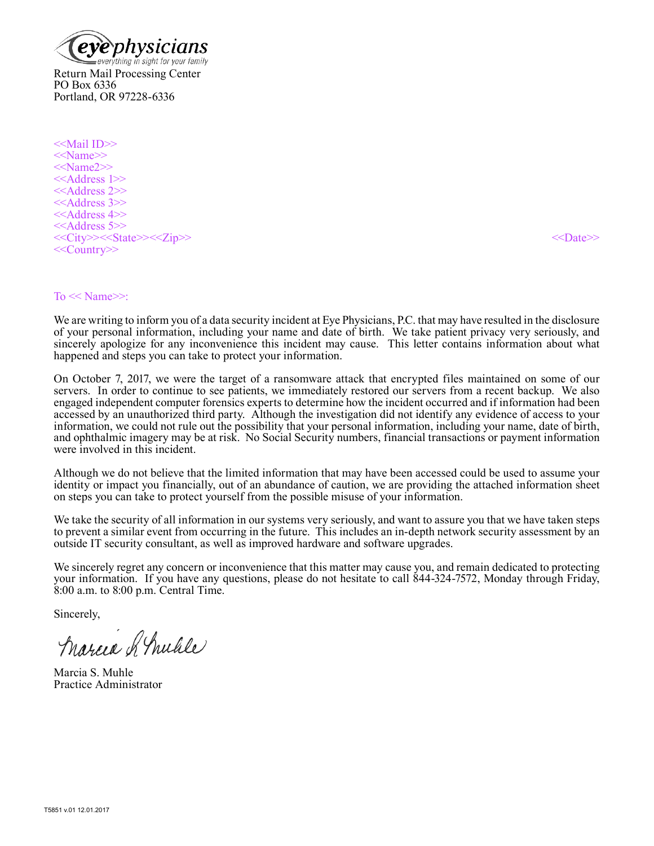

PO Box 6336 Portland, OR 97228-6336

<<Mail ID>> <<Name>> <<Name2>> <<Address 1>> <<Address 2>> <<Address 3>> <<Address 4>> <<Address 5>> <<City>><<State>><<Zip>><< < < Date>><</>><<< < Date>><<< ><<< Date>><<< <<< Date>><<< << Date>><<< < Date>><<< << Date>><<< << Date>><<< << Date>><<< << < Date>><<< <<< < Date>><<< <<<<<< < < Date>><<<<<<<<<<<<<<<<<<<<<<< <<Country>>

#### $To \ll Name \gg:$

We are writing to inform you of a data security incident at Eye Physicians, P.C. that may have resulted in the disclosure of your personal information, including your name and date of birth. We take patient privacy very seriously, and sincerely apologize for any inconvenience this incident may cause. This letter contains information about what happened and steps you can take to protect your information.

On October 7, 2017, we were the target of a ransomware attack that encrypted files maintained on some of our servers. In order to continue to see patients, we immediately restored our servers from a recent backup. We also engaged independent computer forensics experts to determine how the incident occurred and if information had been accessed by an unauthorized third party. Although the investigation did not identify any evidence of access to your information, we could not rule out the possibility that your personal information, including your name, date of birth, and ophthalmic imagery may be at risk. No Social Security numbers, financial transactions or payment information were involved in this incident.

Although we do not believe that the limited information that may have been accessed could be used to assume your identity or impact you financially, out of an abundance of caution, we are providing the attached information sheet on steps you can take to protect yourself from the possible misuse of your information.

We take the security of all information in our systems very seriously, and want to assure you that we have taken steps to prevent a similar event from occurring in the future. This includes an in-depth network security assessment by an outside IT security consultant, as well as improved hardware and software upgrades.

We sincerely regret any concern or inconvenience that this matter may cause you, and remain dedicated to protecting your information. If you have any questions, please do not hesitate to call 844-324-7572, Monday through Friday, 8:00 a.m. to 8:00 p.m. Central Time.

Sincerely,

Marcia & Mulile

Marcia S. Muhle Practice Administrator